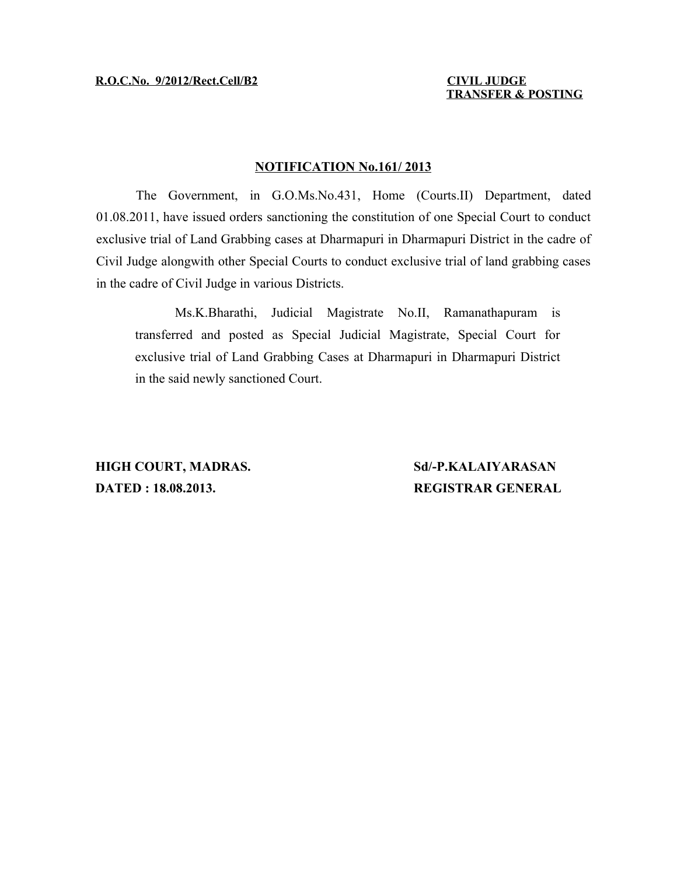**TRANSFER & POSTING**

### **NOTIFICATION No.161/ 2013**

The Government, in G.O.Ms.No.431, Home (Courts.II) Department, dated 01.08.2011, have issued orders sanctioning the constitution of one Special Court to conduct exclusive trial of Land Grabbing cases at Dharmapuri in Dharmapuri District in the cadre of Civil Judge alongwith other Special Courts to conduct exclusive trial of land grabbing cases in the cadre of Civil Judge in various Districts.

Ms.K.Bharathi, Judicial Magistrate No.II, Ramanathapuram is transferred and posted as Special Judicial Magistrate, Special Court for exclusive trial of Land Grabbing Cases at Dharmapuri in Dharmapuri District in the said newly sanctioned Court.

**HIGH COURT, MADRAS. Sd/-P.KALAIYARASAN DATED : 18.08.2013. REGISTRAR GENERAL**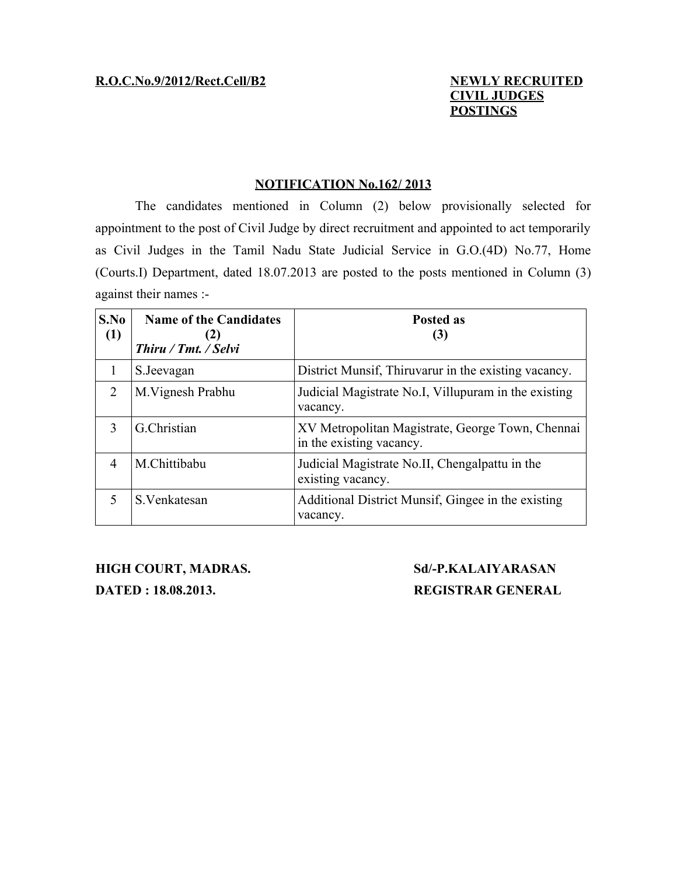# **CIVIL JUDGES POSTINGS**

### **NOTIFICATION No.162/ 2013**

The candidates mentioned in Column (2) below provisionally selected for appointment to the post of Civil Judge by direct recruitment and appointed to act temporarily as Civil Judges in the Tamil Nadu State Judicial Service in G.O.(4D) No.77, Home (Courts.I) Department, dated 18.07.2013 are posted to the posts mentioned in Column (3) against their names :-

| S.No<br>(1)                 | <b>Name of the Candidates</b><br>(2)<br>Thiru / Tmt. / Selvi | Posted as<br>(3)                                                             |
|-----------------------------|--------------------------------------------------------------|------------------------------------------------------------------------------|
|                             | S. Jeevagan                                                  | District Munsif, Thiruvarur in the existing vacancy.                         |
| $\mathcal{D}_{\mathcal{L}}$ | M. Vignesh Prabhu                                            | Judicial Magistrate No.I, Villupuram in the existing<br>vacancy.             |
| $\mathcal{E}$               | G.Christian                                                  | XV Metropolitan Magistrate, George Town, Chennai<br>in the existing vacancy. |
| 4                           | M.Chittibabu                                                 | Judicial Magistrate No.II, Chengalpattu in the<br>existing vacancy.          |
| $\overline{\mathcal{L}}$    | S. Venkatesan                                                | Additional District Munsif, Gingee in the existing<br>vacancy.               |

**HIGH COURT, MADRAS. Sd/-P.KALAIYARASAN DATED : 18.08.2013. REGISTRAR GENERAL**